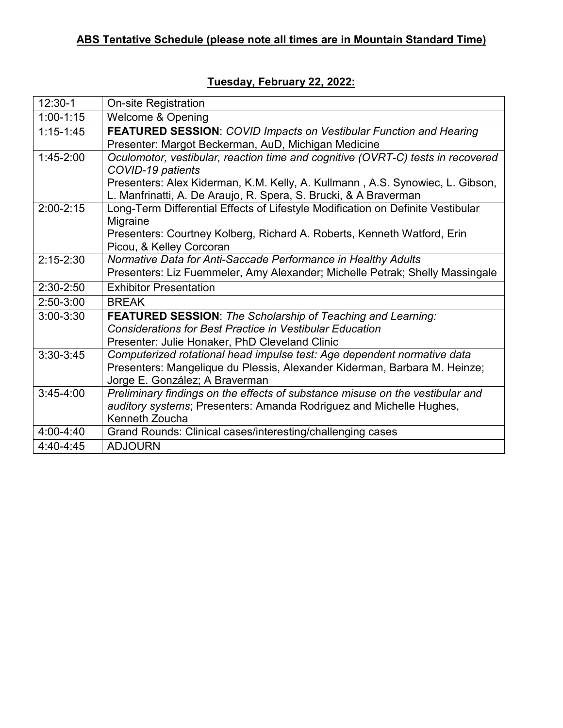| $12:30-1$     | <b>On-site Registration</b>                                                     |
|---------------|---------------------------------------------------------------------------------|
| $1:00-1:15$   | <b>Welcome &amp; Opening</b>                                                    |
| $1:15 - 1:45$ | <b>FEATURED SESSION: COVID Impacts on Vestibular Function and Hearing</b>       |
|               | Presenter: Margot Beckerman, AuD, Michigan Medicine                             |
| $1:45-2:00$   | Oculomotor, vestibular, reaction time and cognitive (OVRT-C) tests in recovered |
|               | COVID-19 patients                                                               |
|               | Presenters: Alex Kiderman, K.M. Kelly, A. Kullmann, A.S. Synowiec, L. Gibson,   |
|               | L. Manfrinatti, A. De Araujo, R. Spera, S. Brucki, & A Braverman                |
| $2:00 - 2:15$ | Long-Term Differential Effects of Lifestyle Modification on Definite Vestibular |
|               | Migraine                                                                        |
|               | Presenters: Courtney Kolberg, Richard A. Roberts, Kenneth Watford, Erin         |
|               | Picou, & Kelley Corcoran                                                        |
| $2:15 - 2:30$ | Normative Data for Anti-Saccade Performance in Healthy Adults                   |
|               | Presenters: Liz Fuemmeler, Amy Alexander; Michelle Petrak; Shelly Massingale    |
| $2:30-2:50$   | <b>Exhibitor Presentation</b>                                                   |
| $2:50-3:00$   | <b>BREAK</b>                                                                    |
| $3:00 - 3:30$ | <b>FEATURED SESSION: The Scholarship of Teaching and Learning:</b>              |
|               | <b>Considerations for Best Practice in Vestibular Education</b>                 |
|               | Presenter: Julie Honaker, PhD Cleveland Clinic                                  |
| $3:30-3:45$   | Computerized rotational head impulse test: Age dependent normative data         |
|               | Presenters: Mangelique du Plessis, Alexander Kiderman, Barbara M. Heinze;       |
|               | Jorge E. González; A Braverman                                                  |
| $3:45-4:00$   | Preliminary findings on the effects of substance misuse on the vestibular and   |
|               | auditory systems; Presenters: Amanda Rodriguez and Michelle Hughes,             |
|               | Kenneth Zoucha                                                                  |
| $4:00 - 4:40$ | Grand Rounds: Clinical cases/interesting/challenging cases                      |
| 4:40-4:45     | <b>ADJOURN</b>                                                                  |

## **Tuesday, February 22, 2022:**